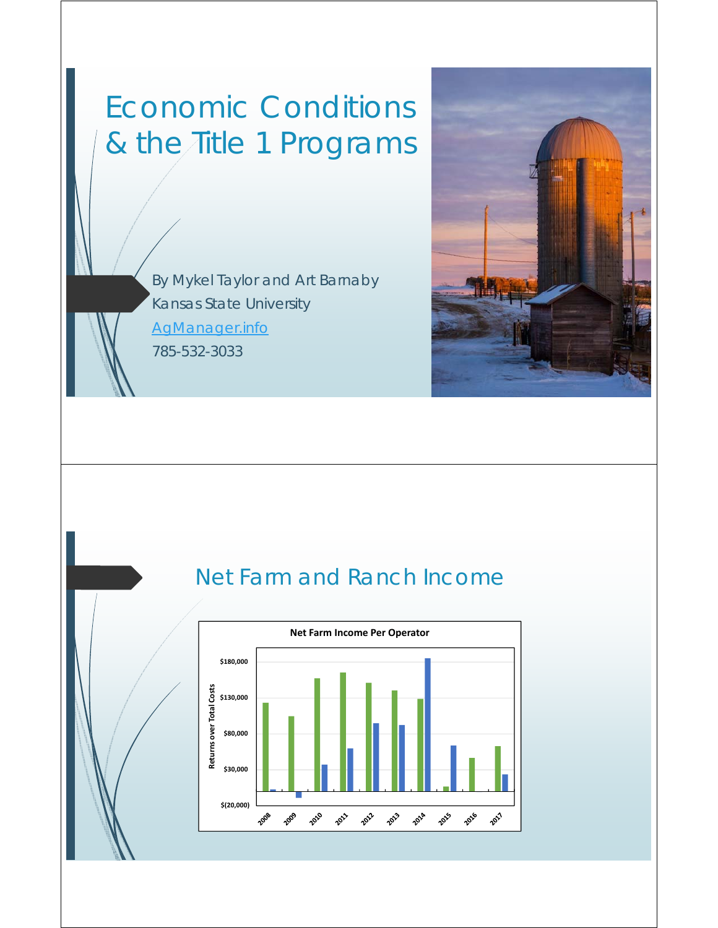## Economic Conditions & the Title 1 Programs

By Mykel Taylor and Art Barnaby Kansas State University AgManager.info 785-532-3033



#### Net Farm and Ranch Income

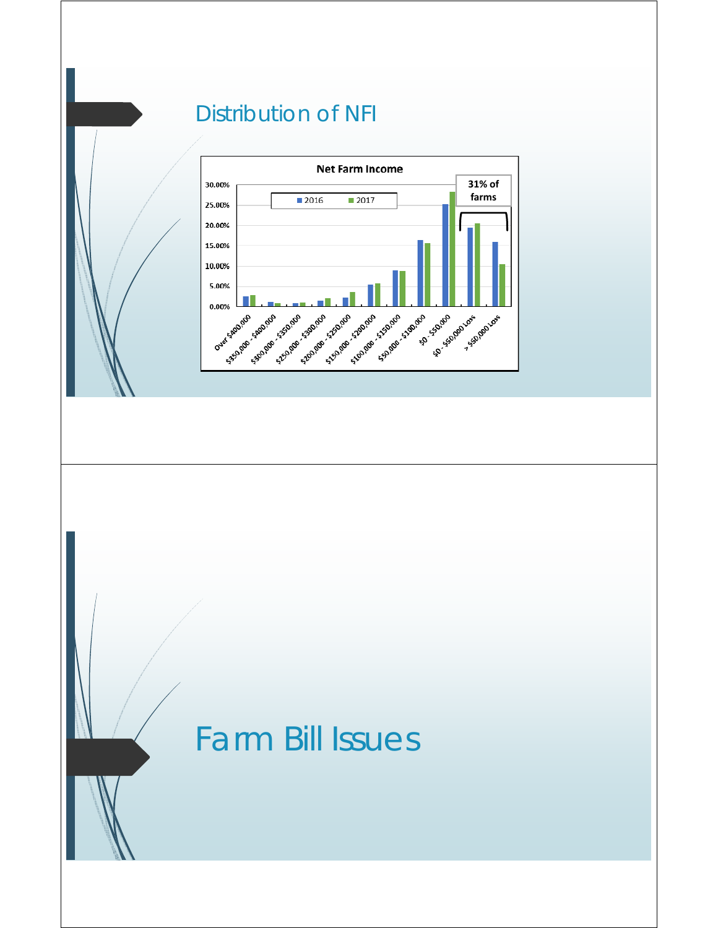#### Distribution of NFI



## Farm Bill Issues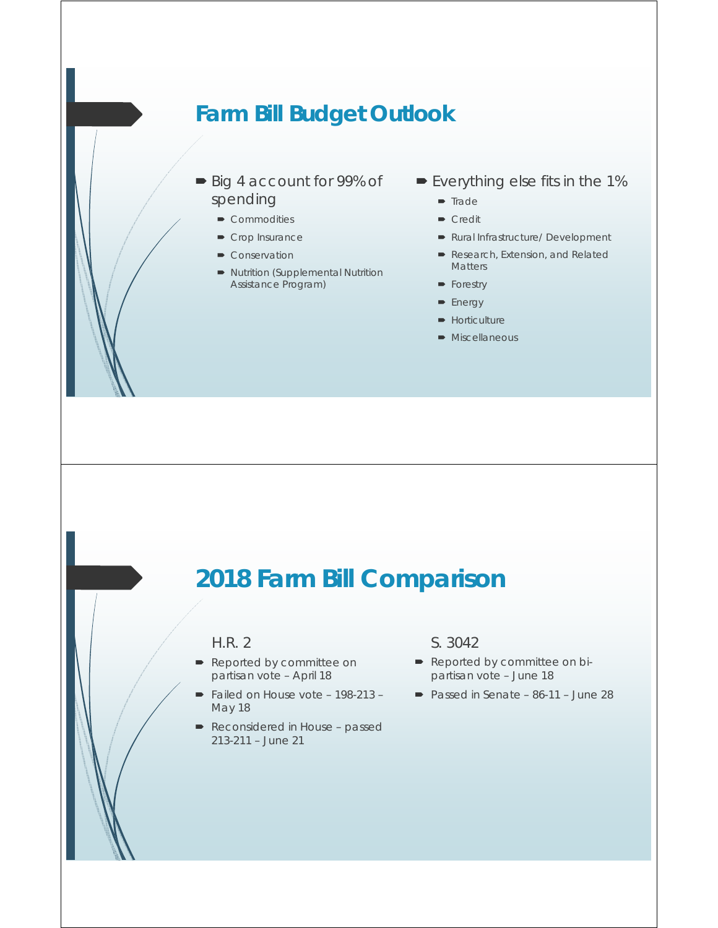#### **Farm Bill Budget Outlook**

- Big 4 account for 99% of spending
	- Commodities
	- Crop Insurance
	- Conservation
	- Nutrition (Supplemental Nutrition Assistance Program)
- Everything else fits in the 1%
	- $\blacksquare$  Trade
	- **Credit**
	- Rural Infrastructure/ Development
	- Research, Extension, and Related Matters
	- **Forestry**
	- **Energy**
	- **Horticulture**
	- **Miscellaneous**

#### **2018 Farm Bill Comparison**

#### H.R. 2

- Reported by committee on partisan vote – April 18
- Failed on House vote 198-213 -May 18
- Reconsidered in House passed 213-211 – June 21

#### S. 3042

- Reported by committee on bipartisan vote – June 18
- Passed in Senate 86-11 June 28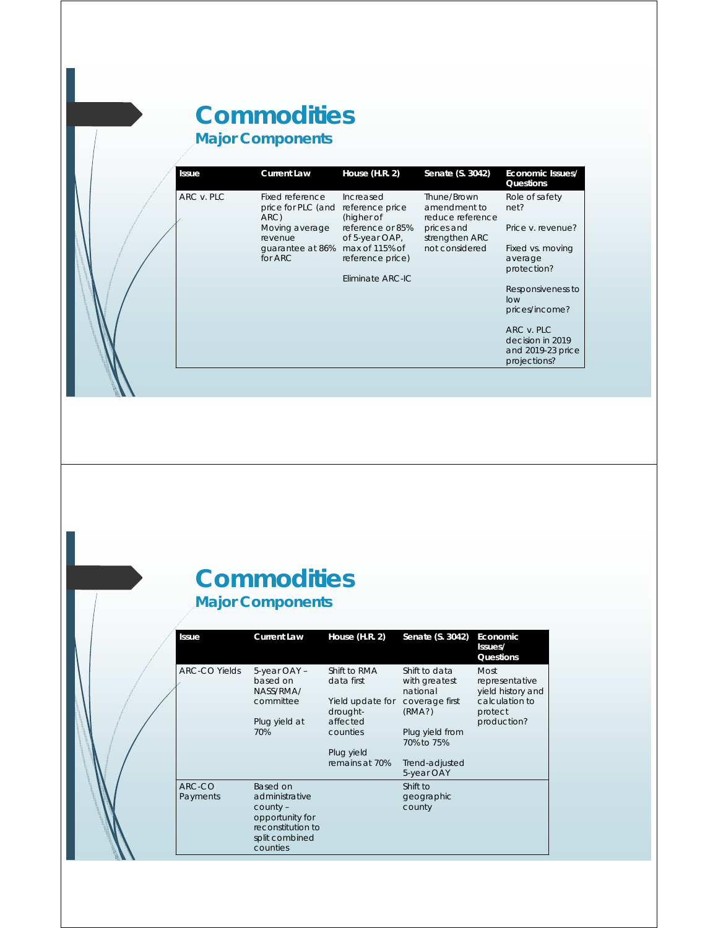#### **Commodities Major Components**

| <b>Issue</b> | <b>Current Law</b>                            | House (H.R. 2)                             | Senate (S. 3042)                                | Economic Issues/<br>Questions                                       |
|--------------|-----------------------------------------------|--------------------------------------------|-------------------------------------------------|---------------------------------------------------------------------|
| ARC v. PLC   | Fixed reference<br>price for PLC (and<br>ARC) | Increased<br>reference price<br>(higher of | Thune/Brown<br>amendment to<br>reduce reference | Role of safety<br>net?                                              |
|              | Moving average<br>revenue                     | reference or 85%<br>of 5-year OAP,         | prices and<br>strengthen ARC                    | Price y. revenue?                                                   |
|              | quarantee at 86%<br>for $ARC$                 | max of 115% of<br>reference price)         | not considered                                  | Fixed vs. moving<br>average<br>protection?                          |
|              |                                               | Fliminate ARC-IC                           |                                                 |                                                                     |
|              |                                               |                                            |                                                 | Responsiveness to<br>low                                            |
|              |                                               |                                            |                                                 | prices/income?                                                      |
|              |                                               |                                            |                                                 | ARC v. PLC<br>decision in 2019<br>and 2019-23 price<br>projections? |

#### **Commodities Major Components**

| <b>Issue</b>         | <b>Current Law</b>                                                                                             | House $(H.R. 2)$                                           | Senate (S. 3042)                                                       | Economic<br>Issues/<br>Questions                                         |
|----------------------|----------------------------------------------------------------------------------------------------------------|------------------------------------------------------------|------------------------------------------------------------------------|--------------------------------------------------------------------------|
| <b>ARC-CO Yields</b> | 5-year OAY -<br>based on<br>NASS/RMA/<br>committee                                                             | Shift to RMA<br>data first<br>Yield update for<br>drought- | Shift to data<br>with greatest<br>national<br>coverage first<br>(RMA?) | Most<br>representative<br>yield history and<br>calculation to<br>protect |
|                      | Plug yield at<br>70%                                                                                           | affected<br>counties<br>Plug yield                         | Plug yield from<br>70% to 75%                                          | production?                                                              |
|                      |                                                                                                                | remains at 70%                                             | Trend-adjusted<br>5-year OAY                                           |                                                                          |
| ARC-CO<br>Payments   | Based on<br>administrative<br>$county -$<br>opportunity for<br>reconstitution to<br>split combined<br>counties |                                                            | Shift to<br>geographic<br>county                                       |                                                                          |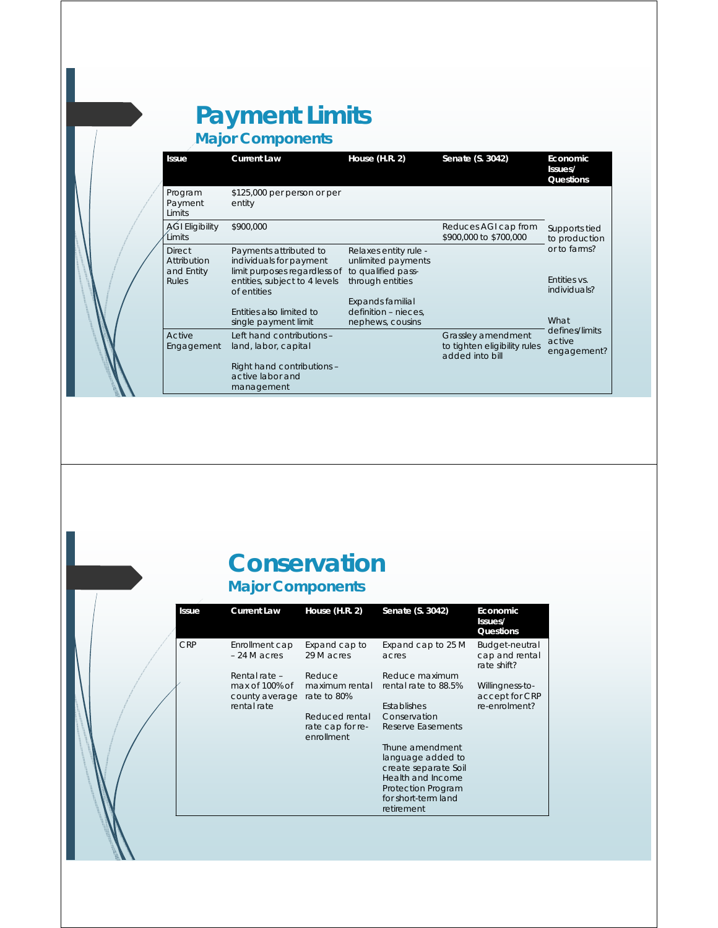#### **Payment Limits Major Components**

**Issue Current Law House (H.R. 2) Senate (S. 3042)** Program Payment **Limits** \$125,000 per person or per entity \$900,000 **Reduces AGI cap from** Supports tied AGI Eligibility \$900,000

| Limits                                     |                                                                                   |                                                                   | \$900,000 to \$700,000                                                | to production                           |
|--------------------------------------------|-----------------------------------------------------------------------------------|-------------------------------------------------------------------|-----------------------------------------------------------------------|-----------------------------------------|
| <b>Direct</b><br>Attribution<br>and Entity | Payments attributed to<br>individuals for payment<br>limit purposes regardless of | Relaxes entity rule -<br>unlimited payments<br>to qualified pass- |                                                                       | or to farms?                            |
| Rules                                      | entities, subject to 4 levels<br>of entities                                      | through entities                                                  |                                                                       | Entities vs.<br>individuals?            |
|                                            | <b>Fnitties also limited to</b><br>single payment limit                           | Expands familial<br>definition - nieces,<br>nephews, cousins      |                                                                       | What                                    |
| Active<br>Engagement                       | Left hand contributions -<br>land, labor, capital                                 |                                                                   | Grassley amendment<br>to tighten eligibility rules<br>added into bill | defines/limits<br>active<br>engagement? |
|                                            | Right hand contributions -<br>active labor and<br>management                      |                                                                   |                                                                       |                                         |

**Issues/ Questions**

#### **Conservation Major Components**

| <b>Issue</b> | <b>Current Law</b>                                               | House $(H.R. 2)$                                 | Senate (S. 3042)                                                             | Economic<br>Issues/<br>Questions                   |
|--------------|------------------------------------------------------------------|--------------------------------------------------|------------------------------------------------------------------------------|----------------------------------------------------|
| <b>CRP</b>   | Enrollment cap<br>$-24$ M acres                                  | Expand cap to<br>29 M acres                      | Expand cap to 25 M<br>acres                                                  | Budget-neutral<br>cap and rental<br>rate shift?    |
|              | Rental rate -<br>max of 100% of<br>county average<br>rental rate | Reduce<br>maximum rental<br>rate to 80%          | Reduce maximum<br>rental rate to 88.5%<br>Establishes                        | Willingness-to-<br>accept for CRP<br>re-enrolment? |
|              |                                                                  | Reduced rental<br>rate cap for re-<br>enrollment | Conservation<br>Reserve Easements                                            |                                                    |
|              |                                                                  |                                                  | Thune amendment<br>language added to<br>create separate Soil                 |                                                    |
|              |                                                                  |                                                  | Health and Income<br>Protection Program<br>for short-term land<br>retirement |                                                    |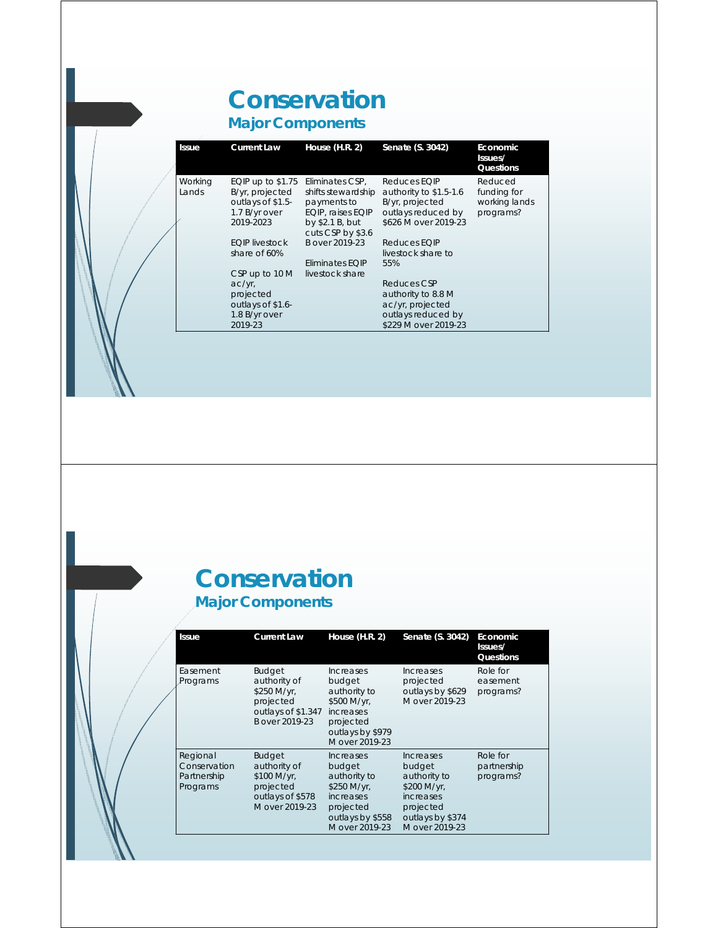## **Conservation**

**Major Components**

| <b>Issue</b>     | <b>Current Law</b>                                                                       | House $(H.R. 2)$                                                                                                  | Senate (S. 3042)                                                                                        | Economic<br>Issues/<br>Questions                     |
|------------------|------------------------------------------------------------------------------------------|-------------------------------------------------------------------------------------------------------------------|---------------------------------------------------------------------------------------------------------|------------------------------------------------------|
| Working<br>Lands | EQIP up to $$1.75$<br>B/yr, projected<br>outlays of \$1.5-<br>1.7 B/yr over<br>2019-2023 | Eliminates CSP,<br>shifts stewardship<br>payments to<br>EQIP, raises EQIP<br>by \$2.1 B, but<br>cuts CSP by \$3.6 | Reduces EQIP<br>authority to \$1.5-1.6<br>B/yr, projected<br>outlays reduced by<br>\$626 M over 2019-23 | Reduced<br>funding for<br>working lands<br>programs? |
|                  | <b>EQIP</b> livestock<br>share of 60%<br>CSP up to 10 M                                  | B over 2019-23<br>Eliminates EQIP<br>livestock share                                                              | Reduces EQIP<br>livestock share to<br>55%                                                               |                                                      |
|                  | $ac/yr$ ,<br>projected<br>outlays of \$1.6-<br>1.8 B/yr over<br>2019-23                  |                                                                                                                   | Reduces CSP<br>authority to 8.8 M<br>ac/yr, projected<br>outlays reduced by<br>\$229 M over 2019-23     |                                                      |

#### **Conservation Major Components**

| <b>Issue</b>                                        | <b>Current Law</b>                                                                                | House $(H.R. 2)$                                                                                                                        | Senate (S. 3042)                                                                                                          | Economic<br>Issues/<br>Questions     |
|-----------------------------------------------------|---------------------------------------------------------------------------------------------------|-----------------------------------------------------------------------------------------------------------------------------------------|---------------------------------------------------------------------------------------------------------------------------|--------------------------------------|
| Easement<br>Programs                                | <b>Budget</b><br>authority of<br>\$250 M/yr,<br>projected<br>outlays of \$1.347<br>B over 2019-23 | Increases<br>budget<br>authority to<br>\$500 M/yr,<br>increases<br>projected<br>outlays by \$979<br>M over 2019-23                      | <i><u><b>Increases</b></u></i><br>projected<br>outlays by \$629<br>M over 2019-23                                         | Role for<br>easement<br>programs?    |
| Regional<br>Conservation<br>Partnership<br>Programs | <b>Budget</b><br>authority of<br>\$100 M/yr,<br>projected<br>outlays of \$578<br>M over 2019-23   | <i><u><b>Increases</b></u></i><br>budget<br>authority to<br>\$250 M/yr,<br>increases<br>projected<br>outlays by \$558<br>M over 2019-23 | <b>Increases</b><br>budget<br>authority to<br>\$200 M/yr,<br>increases<br>projected<br>outlays by \$374<br>M over 2019-23 | Role for<br>partnership<br>programs? |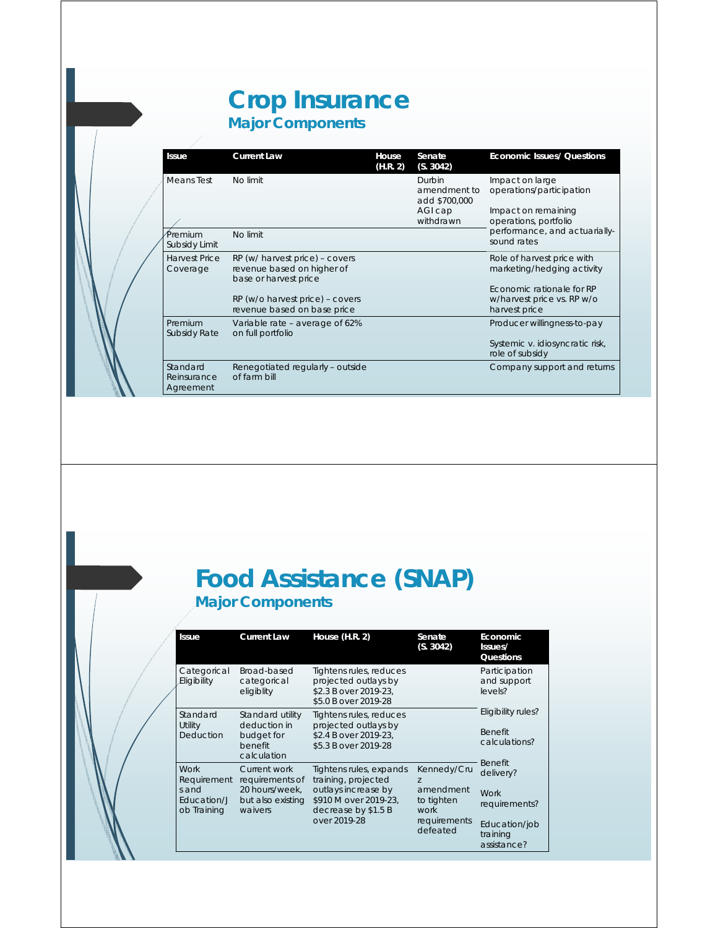#### **Crop Insurance Major Components**



| Issue                                | <b>Current Law</b>                                                                    | House<br>(H.R. 2) | Senate<br>(S. 3042)                     | <b>Economic Issues/ Questions</b>                                        |
|--------------------------------------|---------------------------------------------------------------------------------------|-------------------|-----------------------------------------|--------------------------------------------------------------------------|
| Means Test                           | No limit                                                                              |                   | Durbin<br>amendment to<br>add \$700,000 | Impact on large<br>operations/participation                              |
|                                      |                                                                                       |                   | AGI cap<br>withdrawn                    | Impact on remaining<br>operations, portfolio                             |
| Premium<br>Subsidy Limit             | No limit                                                                              |                   |                                         | performance, and actuarially-<br>sound rates                             |
| <b>Harvest Price</b><br>Coverage     | RP (w/ harvest price) – covers<br>revenue based on higher of<br>base or harvest price |                   |                                         | Role of harvest price with<br>marketing/hedging activity                 |
|                                      | RP (w/o harvest price) - covers<br>revenue based on base price                        |                   |                                         | Economic rationale for RP<br>w/harvest price vs. RP w/o<br>harvest price |
| Premium<br><b>Subsidy Rate</b>       | Variable rate – average of 62%<br>on full portfolio                                   |                   |                                         | Producer willingness-to-pay                                              |
|                                      |                                                                                       |                   |                                         | Systemic v. idiosyncratic risk,<br>role of subsidy                       |
| Standard<br>Reinsurance<br>Agreement | Renegotiated regularly - outside<br>of farm bill                                      |                   |                                         | Company support and returns                                              |

#### **Food Assistance (SNAP) Major Components**

| <b>Issue</b>                                                      | <b>Current Law</b>                                                                | House (H.R. 2)                                                                                                                        | Senate<br>(S. 3042)                                                                          | Economic<br>Issues/<br>Questions                                                                 |
|-------------------------------------------------------------------|-----------------------------------------------------------------------------------|---------------------------------------------------------------------------------------------------------------------------------------|----------------------------------------------------------------------------------------------|--------------------------------------------------------------------------------------------------|
| Categorical<br>Eligibility                                        | Broad-based<br>categorical<br>eligiblity                                          | Tightens rules, reduces<br>projected outlays by<br>\$2.3 B over 2019-23,<br>\$5.0 B over 2019-28                                      |                                                                                              | Participation<br>and support<br>levels?                                                          |
| Standard<br>Utility<br>Deduction                                  | Standard utility<br>deduction in<br>budget for<br>benefit<br>calculation          | Tightens rules, reduces<br>projected outlays by<br>\$2.4 B over 2019-23,<br>\$5.3 B over 2019-28                                      |                                                                                              | Eligibility rules?<br><b>Benefit</b><br>calculations?                                            |
| <b>Work</b><br>Requirement<br>s and<br>Education/J<br>ob Training | Current work<br>requirements of<br>20 hours/week.<br>but also existing<br>waivers | Tightens rules, expands<br>training, projected<br>outlays increase by<br>\$910 M over 2019-23,<br>decrease by \$1.5 B<br>over 2019-28 | Kennedy/Cru<br>$\overline{z}$<br>amendment<br>to tighten<br>work<br>requirements<br>defeated | <b>Benefit</b><br>delivery?<br>Work<br>requirements?<br>Education/job<br>training<br>assistance? |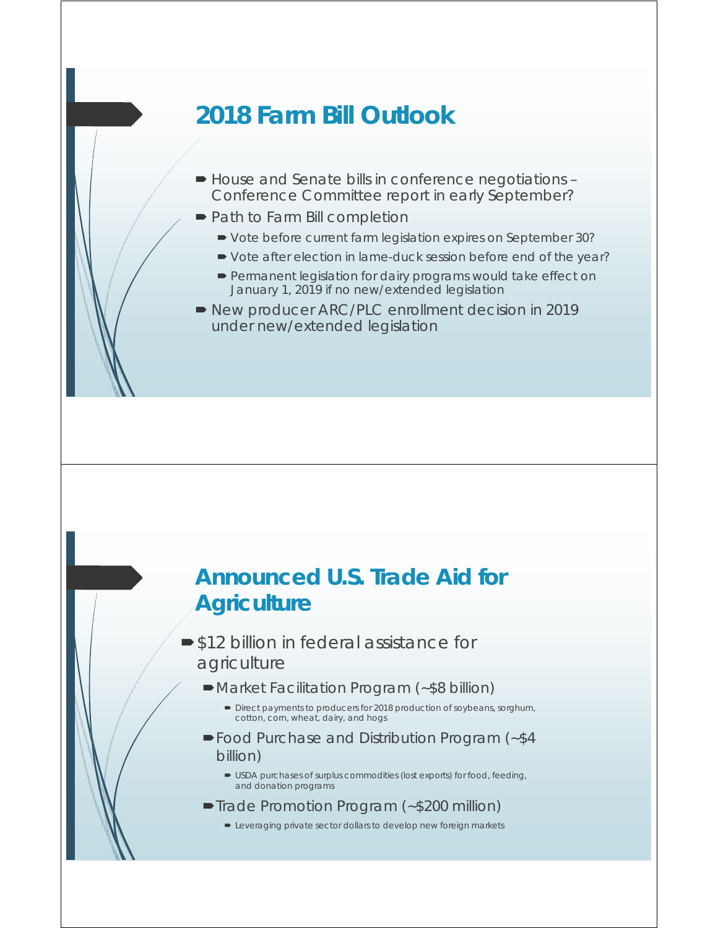## **2018 Farm Bill Outlook**

- House and Senate bills in conference negotiations Conference Committee report in early September?
- Path to Farm Bill completion
	- Vote before current farm legislation expires on September 30?
	- Vote after election in lame-duck session before end of the year?
	- **Permanent legislation for dairy programs would take effect on** January 1, 2019 if no new/extended legislation
- New producer ARC/PLC enrollment decision in 2019 under new/extended legislation

#### **Announced U.S. Trade Aid for Agriculture**

- **S12 billion in federal assistance for** agriculture
	- Market Facilitation Program (~\$8 billion)
		- Direct payments to producers for 2018 production of soybeans, sorghum, cotton, corn, wheat, dairy, and hogs
	- Food Purchase and Distribution Program (~\$4 billion)
		- USDA purchases of surplus commodities (lost exports) for food, feeding, and donation programs
	- ■Trade Promotion Program (~\$200 million)
		- **EXECT** Leveraging private sector dollars to develop new foreign markets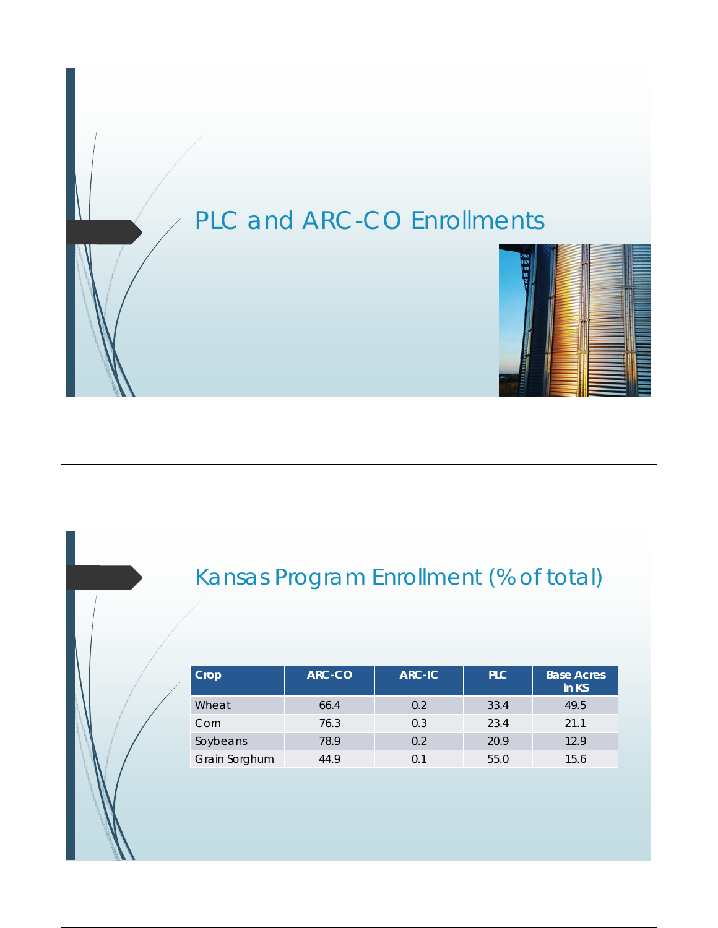## PLC and ARC-CO Enrollments



| $ $ Crop      | ARC-CO | <b>ARC-IC</b> | PLC. | <b>Base Acres</b><br>in KS |
|---------------|--------|---------------|------|----------------------------|
| Wheat         | 66.4   | 0.2           | 33.4 | 49.5                       |
| Corn          | 76.3   | 0.3           | 23.4 | 21.1                       |
| Soybeans      | 78.9   | 0.2           | 20.9 | 12.9                       |
| Grain Sorghum | 44.9   | 0.1           | 55.0 | 15.6                       |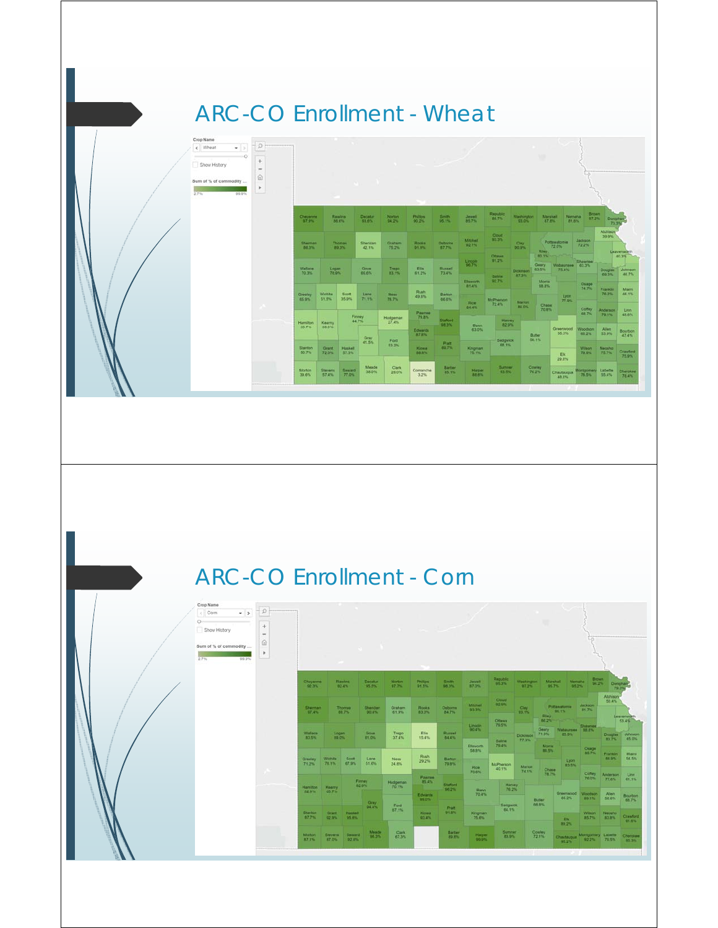## ARC-CO Enrollment - Wheat

| Crop Name<br>< Wheat<br>$\bullet$<br>$\circ$<br>Show History<br>Sum of % of commodity<br>2.7%<br>99.9% | $\mathfrak{O}$<br>$+$<br>$\sim$<br>企<br>×. |                         |                         | <b>STATE</b>     | $\mathbf{u}_1 = \mathbf{v}_2$ |                        |                              |                                |                                  |                                 |                                  |                                                                                                                                                                                                                                      |                                            |                                    |                                |                                      |
|--------------------------------------------------------------------------------------------------------|--------------------------------------------|-------------------------|-------------------------|------------------|-------------------------------|------------------------|------------------------------|--------------------------------|----------------------------------|---------------------------------|----------------------------------|--------------------------------------------------------------------------------------------------------------------------------------------------------------------------------------------------------------------------------------|--------------------------------------------|------------------------------------|--------------------------------|--------------------------------------|
|                                                                                                        |                                            | Cheyenne<br>97.0%       |                         | Rawlins<br>86.0% | <b>Decatur</b><br>03.6%       | <b>Norton</b><br>94.2% | <b>Philips</b><br>90.2%      | <b>Bendite</b><br>95.1%        | Jewell<br>85.7%                  | Republic<br><b>88.7%</b>        | Washington<br>03.0%              | 87.6%                                                                                                                                                                                                                                | <b>Marshall</b><br>Nemana<br><b>At nh.</b> | <b>Brown:</b><br>87.2%             | Donushar<br>73.3%              |                                      |
|                                                                                                        |                                            | <b>Sherman</b><br>00.3% |                         | Thomas<br>00.5%  | Sheridan<br>42.1%             | Graham.<br>75.2%       | Rooks<br>01.9%               | Outcrite<br>07.7%              | <b>Machell</b><br>02.1%          | Cloud<br>93.3%                  | $rac{\text{Cay}}{\text{30.0\%}}$ | Riey.                                                                                                                                                                                                                                | Pottawatornie<br>120%                      | <b>Jackson</b><br>72.2%            | Atchison <sup>-</sup><br>39.9% | Leavenworth                          |
|                                                                                                        |                                            | <b>Wallace</b><br>70.3% | Logan<br>70.9%          |                  | Gove<br>69.0%                 | Trego<br>83.1%         | Ella<br>61.2%                | Russell<br>73.4%               | Lincoln:<br>00.7%                | Ottawn<br>91.2%<br><b>Salme</b> | <b>Dickmoon</b><br>87.3%         | <b>Contract of the Contract of the Contract of the Contract of the Contract of the Contract of the Contract of the Contract of the Contract of the Contract of the Contract of the Contract of the Contract of the Contract of t</b> | Geory. Wabaunsee 63.3%<br>63.5% 75.4%      | Shawnee                            | 09.3%                          | $-40.3%$<br>Douglas Johnson<br>46.7% |
|                                                                                                        |                                            | Greeiny<br>65.9%        | Wichita<br>51.5%        | Scott<br>35.9%   | Lane.<br>71.1%                | <b>Ness</b><br>78.7%   | Rush<br>49.6%                | Barton<br>66.6%                | <b>Elsworth</b><br>81.4%<br>Rice | 92.7%<br>McPherson<br>72.4%     | <b>Marion</b>                    | <b>Monte</b><br>68.8%                                                                                                                                                                                                                | Lyon<br>77.9%                              | Osage<br>74.7%                     | Frankfin<br>76.2%              | <b>Marri</b><br>46.1%                |
|                                                                                                        |                                            | Hamilton<br>35.7%       | Kearny<br>39.0%         |                  | Finney<br>44.7%               | Hodgeman<br>27.4%      | <b>Pawnee</b><br>79.8%       | <b>Stafford</b><br><b>OB3%</b> | 84.4%<br>Reno                    | <b>Haney</b><br>82.0%           | <b>B40%</b>                      | Chase<br>70.8%                                                                                                                                                                                                                       |                                            | Coffey<br><b>GR.7%</b>             | Anderson<br>79.1%              | <b>Linn</b><br>48.0%                 |
|                                                                                                        |                                            | Stanton                 | <b>Orant</b>            | Haskell          | Gray<br>41.5%                 | Ford<br>53.2%          | Edwards<br>67.8%             | Pratt.<br>69.7%                | 63.0%                            | Sedgaick<br>68.1%               |                                  | Butler<br>50.1%                                                                                                                                                                                                                      | Greenwood<br>35.3%                         | Woodson<br>05.2%                   | Allen<br>53.9%                 | Bourbon<br>47.4%                     |
|                                                                                                        |                                            | 50.7%                   | 72.0%                   | 57.3%            | Meade                         |                        | <b>KICWA</b><br><b>BRANK</b> |                                | Kingman<br>75.1%                 | n an<br><b>Suttmer</b>          |                                  |                                                                                                                                                                                                                                      | EK<br>29.9%                                | Wilson<br>79.0%                    | Neosho<br>757%                 | Crawford<br>75.9%                    |
|                                                                                                        |                                            | <b>Morton</b><br>39.6%  | <b>Stevens</b><br>57.4% | Seward<br>77.0%  | 38.0%                         | Clark<br>28.0%         | Comanche<br>3.2%             | Barber<br>85.1%                | Harper<br>88.8%                  | 93.5%                           |                                  | Cowley<br>76.2%                                                                                                                                                                                                                      | Chautauqua<br>48.0%                        | Montgomery Labette<br><b>76.5%</b> | 55.4%                          | Cherokee<br>78.4%                    |

## ARC-CO Enrollment - Corn

| Crop Name<br>$\bullet$ ><br>c Corn<br>$O \leftarrow$<br>Show History<br>Sum of % of commodity<br>2.7%<br>99.9% | $+$<br>$\frac{1}{2}$<br>命<br>$\mathbb{R}$ |                                |                       |                                | $\sim$ $\sim$           | <b>COLLECTION</b>           | and the state of the state        |                                 |                                |                                    |                           |                                     |                                     |                                |                                   |                                    |
|----------------------------------------------------------------------------------------------------------------|-------------------------------------------|--------------------------------|-----------------------|--------------------------------|-------------------------|-----------------------------|-----------------------------------|---------------------------------|--------------------------------|------------------------------------|---------------------------|-------------------------------------|-------------------------------------|--------------------------------|-----------------------------------|------------------------------------|
|                                                                                                                |                                           | Cheyenne<br>92.3%              |                       | Rawins<br>02244                | <b>Decatur</b><br>95.5% | <b>Norton</b><br>07733      | <b>Phillips</b><br><b>DEEDS</b>   | Smith<br>08.5%                  | Jewell<br>87.0%                | Republic<br>05.3%                  | Washington<br>(7.25)      | Marshall<br>057%                    | Nematia:<br>052%                    | <b>Brown</b>                   | 94.2% Domphan<br>79.3%            |                                    |
|                                                                                                                |                                           | <b>Sherman</b><br>07.4%        |                       | Thomas<br>(00,75)              | Sheridan<br>00.4%       | <b>Oraham</b><br>61.0%      | <b>Rooks</b><br>65.0%             | Osborne<br><b>B4.7%</b>         | Mitchell<br>03.3%              | Coud<br>02.0%                      | <b>Clay</b><br>D.T.T.     | Riey.                               | Pottawatomia<br><b>PO.1%</b>        | Jackson<br>81.7%               | <b>Atchison</b><br>50.4%          | Leavenworth                        |
|                                                                                                                |                                           | <b>Wallace</b><br><b>03.5%</b> | Logan<br>10.0%        |                                | Gove<br>81.0%           | Trego<br>37.4%              | Elis<br>15.4%                     | Russell<br><b>BAKES</b>         | <b>Lincoln</b><br>90.4%        | Ottawa<br>79.5%<br>Saire           | <b>Dickinson</b><br>77.3% | <b>66.2% - 7%</b><br>Geary<br>71.9% | Wabaunsee 88.8%<br>85.9%            | Shilwnes                       | <b>Douglas</b><br>03.7%           | 53.4%<br>Johnson<br>65.0%          |
|                                                                                                                |                                           | Greeley<br>712%                | Wichita<br>78.1%      | Scott<br>67.9%                 | Lane<br>51.0%           | <b>Ness</b><br>24.6%        | <b>Rush</b><br>29.2%              | <b>Digital</b><br>79.8%         | Elizworth<br>58.8%<br>Rice     | 79.4%<br><b>McPherson</b><br>40.1% | <b>Marion</b>             | <b>Morris</b><br>88.5%<br>Chase     | Lyon<br>83.5%                       | Osage<br>85.7%                 | <b>Franklin</b><br>03.0%          | Mami<br>54.5%                      |
|                                                                                                                | ×                                         | <b>Hamilton</b><br>82.9%       | Kearny<br>85.7%       |                                | Firmey<br>82.9%         | <b>Hodgeman</b><br>70.1%    | Pawnee<br><b>25.4%</b><br>Edwards | <b>Stafford</b><br><b>DON'T</b> | 70.6%<br>Reno<br>70.4%         | <b>Harvey</b><br>76.2%             | 74.1%                     | <b>78.7%</b>                        | Greenwood Woodson                   | Coffey<br>76.0%                | Anderson<br>77.6%<br><b>Allen</b> | <b>Linn</b><br>$-01.1%$<br>Bourbon |
|                                                                                                                |                                           | <b>Stanton</b><br>07.7%        | <b>Grant</b><br>02.9% | <b>Hashel</b><br>058%          | Gray<br>04.4%           | Ford<br>67.1%               | 09.0%<br><b>Kiowa</b><br>03.4%    | <b>Print</b><br><b>D1.5%</b>    | <b>Kingman</b><br><b>75.6%</b> | <b>Sedgwick</b><br><b>B4.1%</b>    |                           | <b>Butler</b><br>66.8%              | 65.2%<br>Ex                         | 89.1%<br>Wilson<br><b>857%</b> | 58.6%<br>Neosha<br><b>BOAN</b>    | 68.7%<br>Citraford<br><b>PIETS</b> |
|                                                                                                                |                                           | Morton,<br>87.1%               | Stevens<br>87.0%      | <b>Generit</b><br><b>D2.8%</b> | <b>Meade</b><br>00535   | Ctark <sup>1</sup><br>67.3% |                                   | Batter<br>89.8%                 | Harper<br>99.9%                | Sumner<br>83.0%                    |                           | <b>Cowley</b><br>72.1%              | 29.2%<br><b>Chautaugua</b><br>95.2% | Montgomery Labette<br>0225     | 70.5%                             | Chettikee<br>00.3%                 |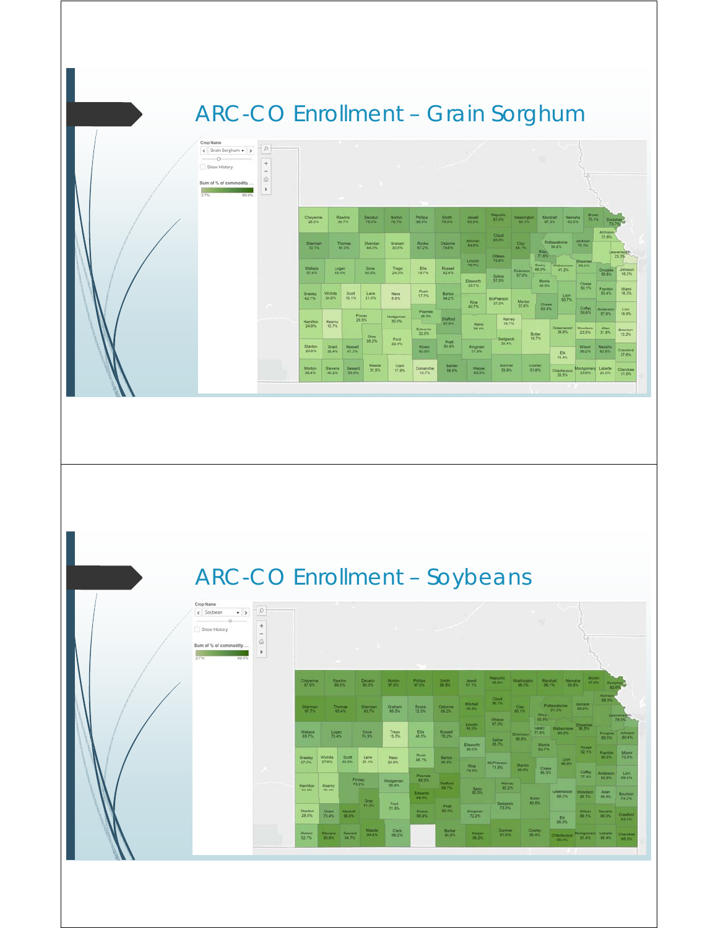## ARC-CO Enrollment – Grain Sorghum

| Crop Name<br>< Grain Sorghum - ><br>$-0-$<br>$\frac{1}{2}$<br>Show History<br>Sum of % of commodity<br>2.7%<br>99.9% | $p_1$<br>--<br>$+$<br>$\sim$<br>仚<br>r |                         |                         |                         |                   |                 |                          |                   |                           |                    |                                  |                                   |                                             |                             |                       |                                 |
|----------------------------------------------------------------------------------------------------------------------|----------------------------------------|-------------------------|-------------------------|-------------------------|-------------------|-----------------|--------------------------|-------------------|---------------------------|--------------------|----------------------------------|-----------------------------------|---------------------------------------------|-----------------------------|-----------------------|---------------------------------|
|                                                                                                                      |                                        | Cheyenne<br>28.0%       |                         | <b>Rawlins</b><br>30.7% | Decatur.<br>75.0% | Norton<br>70.7% | <b>Phillips</b><br>60.8% | Smth.<br>78.8%    | <b>Jewell</b><br>23.5%    | Republic<br>87.4%  | <b>Washington</b><br><b>ASTS</b> |                                   | <b>Marshall</b><br>Nemaha<br>63.3%<br>07.3% | <b>Brown</b><br>75.1%       | Doniphan              | 73.7%                           |
|                                                                                                                      |                                        | <b>Sherman</b><br>70.1% |                         | <b>Thomas</b><br>61.0%  | Sheridan<br>44.0% | Graham<br>30.6% | Rooka<br>67.2%           | Osborne<br>74.6%  | Michell<br>84.6%          | Cloud<br>85.0%     | Cay<br><b>PARTS</b>              |                                   | Pottawatonia<br>56.2%                       | <b>Jackson</b><br>70.1%     | Atchison-<br>31.6%    |                                 |
|                                                                                                                      |                                        | Wallace                 | $\frac{Lopan}{45.4\%}$  |                         | Gove              | Trego           | Elis                     | Russell           | Lincoln<br><b>75.7%</b>   | Ottawa<br>79.8%    | Dickinson                        | Rilay.<br>71.6%<br>Geary<br>46.0% | Wabaunsee 50.0%<br>41.2%                    | Shawnee                     | <b>Douglas</b>        | Leavenworth<br>23.3%<br>Johnson |
|                                                                                                                      |                                        | 57,4%                   |                         |                         | <b>50.0%</b>      | 24.0%           | 19.7%                    | 42.4%             | <b>Elisaorth</b><br>35.7% | Saline<br>57.3%    | 57.e%                            | Morris<br>49.5%                   |                                             | Osage                       | 58.0%                 | 16.2%                           |
|                                                                                                                      |                                        | Greeky<br>42.7%         | Wichita<br>34.0%        | Scott<br>10.1%          | Lane<br>21.0%     | Ness:<br>8.6%   | Rush<br>17.7%            | Barton<br>54.2%   | Rice                      | McPherson<br>27.2% | Marion                           |                                   | Lyon<br>50.7%                               | 50.1%                       | Franklin<br>50.4%     | Miami<br>18.3%                  |
|                                                                                                                      | ×                                      |                         |                         |                         | Finney            | Hodgeman        | Pawnee<br>46.0%          |                   | 40.7%                     |                    | 37.6%                            | <b>Chase</b><br>02.4%             |                                             | Coffey<br>59.6%             | Anderson<br>57.0%     | Linn<br>18.9%                   |
|                                                                                                                      |                                        | Hamilton<br>24.9%       | Kearry<br>10.7%         |                         | 29.5%             | 30.0%           | Edwards<br>32.0%         | Stafford<br>67.6% | Reno<br>56.4%             | Harvey<br>16.7%    |                                  | <b>Butler</b>                     | Greenwood<br>34.6%                          | Woodson<br>23.3%            | <b>Allen</b><br>31.6% | <b>Bourbon</b><br>13.2%         |
|                                                                                                                      |                                        | <b>Stanton</b><br>20.8% | Grant<br>36.4%          | Haskell<br>47.3%        | Gray<br>35.2%     | Ford<br>22.0%   | <b>Klows</b><br>63.0%    | Pratt .<br>54.4%  | Kingman<br>51.9%          | Sedgwick<br>33.4%  |                                  | 19.7%                             | Ek                                          | Wilson<br>56.2%             | Neosho<br>63.0%       | <b>Crawford</b><br>37.0%        |
|                                                                                                                      |                                        | <b>Mortion</b><br>36.4% | <b>Stevens</b><br>40.2% | Seward<br>55.9%         | Meade<br>31.5%    | Clark<br>17.9%  | Comanche<br>10.7%        | Barber<br>68.6%   | <b>Harper</b><br>65.3%    | Sumner<br>53.9%    |                                  | Cowley<br>51.8%                   | 15.4%<br>Chautaugua<br>33.5%                | Montgomery Labette<br>33.9% | 24.0%                 | Cherckee<br>31.0%               |
|                                                                                                                      |                                        |                         |                         |                         |                   |                 |                          |                   |                           |                    |                                  |                                   | n an T                                      |                             |                       |                                 |

## ARC-CO Enrollment – Soybeans

| Crop Name<br>< Soybean<br>$\bullet$ ><br>o.<br>Show History<br>Sum of % of commodity<br>2.7%<br>99.9% | $+$<br>$\sim$<br>仚<br>×.<br>_ | <b>STEP</b><br><b>Contract Contract</b><br><b>COLLEGE</b> |                          |                                           |                         |                              |                                |                        |                               |                               |                              |                                                 |                                |                                |                                          |                              |
|-------------------------------------------------------------------------------------------------------|-------------------------------|-----------------------------------------------------------|--------------------------|-------------------------------------------|-------------------------|------------------------------|--------------------------------|------------------------|-------------------------------|-------------------------------|------------------------------|-------------------------------------------------|--------------------------------|--------------------------------|------------------------------------------|------------------------------|
|                                                                                                       | ×                             | Cheyenne<br><b>07.0%</b>                                  |                          | Rawling<br>80.5%                          | <b>Decatur</b><br>00.5% | Norton <sup>1</sup><br>97.6% | <b>Philips</b><br>07.0%        | Smith.<br>08.9%        | <b>Jawell</b><br><b>DETS</b>  | Republic<br><b>PATION</b>     | <b>Washington</b><br>00.5%   | Marshall.<br><b>PA 115</b>                      | Nemaha<br>03.6%                |                                | <b>Brown</b><br>97.6% Donighan<br>109.4% |                              |
|                                                                                                       |                               | <b>Sherman</b><br>97.7%                                   |                          | <b>Thomas</b><br><b>Sheridan</b><br>95.4% |                         | Graham<br>66.5%              | Rooks<br><b>72.0%</b>          | Osborna<br><b>PERS</b> | <b>Michail</b><br>05.0%       | Cloud<br><b>167%</b>          | <b>Ciav</b><br>65.133        |                                                 | <b>Pottawatomie</b><br>91.3%   | <b>Jackson</b><br><b>BS 9%</b> | Althison<br><b>BASE</b>                  |                              |
|                                                                                                       |                               |                                                           |                          |                                           | 90.7%                   |                              |                                |                        | Lincoln                       | <b>Offawa</b><br>67.0%        |                              | Riley.<br><b>85.9% ********</b><br><u>e est</u> |                                | <b>Shawnee</b>                 |                                          | Lingvenwört?<br><b>78.0%</b> |
|                                                                                                       |                               | Wallace<br>65.7%                                          |                          | Logan<br>73.4%                            |                         | Trego<br>15.5%               | Elis<br>48.5%                  | Russell<br>78.2%       | <b>M.5%</b><br>Ellaworth      | <b>Salne</b><br><b>BATTLE</b> | <b>Dickmaun</b><br>60.0%     | 77.6%<br><b>Month</b>                           | Geary Wabaunsee 00.5%<br>00.2% |                                | 65.5%                                    | Douglas Johnson<br>00.4%     |
|                                                                                                       |                               | Greeiey<br>37.5%                                          | Wichita<br>27.6%         | Scott<br>49.0%                            | Larie<br>21.1%          | Ness <sup>1</sup><br>20.9%   | Rush<br>48.1%<br><b>Pannee</b> | Barton<br>66.9%        | 66.0%<br>Rice<br>70.0%        | $M$ <sub>C</sub> Pherson      |                              | 82.7%                                           | Lyon                           | Озарк<br><b>92.1%</b>          | Franklin<br>00.9%                        | <b>Mary</b><br>70.8%         |
|                                                                                                       |                               |                                                           |                          |                                           |                         |                              |                                |                        |                               |                               | <b>Marion</b><br><b>BDA%</b> | Chase<br>69.3%                                  | <b>M.9%</b>                    | Coffey<br>77.4%                | Anderson                                 | Linn                         |
|                                                                                                       |                               | Hamilton<br>34.6%                                         | Kearny<br>201%           | <b>Firmey</b><br>75.2%<br>−               |                         | Hodgeman<br>58.8%            | 00.3%<br>ı.                    | Stations:<br>99.7%     | Reco                          | Harvey<br>82.2%               |                              |                                                 | Greenwood                      | Woodson                        | 80.8%<br><b>IN</b>                       | 69.4%                        |
|                                                                                                       |                               |                                                           |                          |                                           | G'AL.<br>91.2%          | Ford                         | Edwards<br>08.0%               |                        |                               | Sedgwick                      |                              | Butler<br><b>BO.6%</b>                          | 08.2%                          | <b>BS 785</b>                  | 65.6%                                    | Bourbon<br>74.3%             |
|                                                                                                       |                               | <b>Stanton</b><br>28.5%                                   | <b>Grant</b><br>73.4%    | Haskalt<br><b>DO.O</b> <sup>1</sup>       |                         | 51.8%                        | Kiowa<br>00.4%                 | Pratt<br>00.0%         | Kingman<br>72.2%              | 73.3%                         |                              |                                                 | Ek<br>66.0%                    |                                | Wiscel Neosho<br><b>89.1% 88.0%</b>      | <b>Crawford</b><br>93.4%     |
|                                                                                                       |                               | <b>Morton</b><br>52.7%                                    | Stevens:<br><b>05.0%</b> | Sweard !<br>847%                          | Meade<br><b>DIAN</b>    | <b>Clark</b><br>66.2%        |                                | Barber<br><b>64.9%</b> | <b>Harper:</b><br><b>107%</b> | <b>Surtmer</b><br>91.0%       |                              | <b>Coaley</b><br>06.4%                          | Chaidmanin<br>00.0%            | Montgomery Labette             | <b>91.4% 86.4%</b>                       | Charokee<br>95.5%            |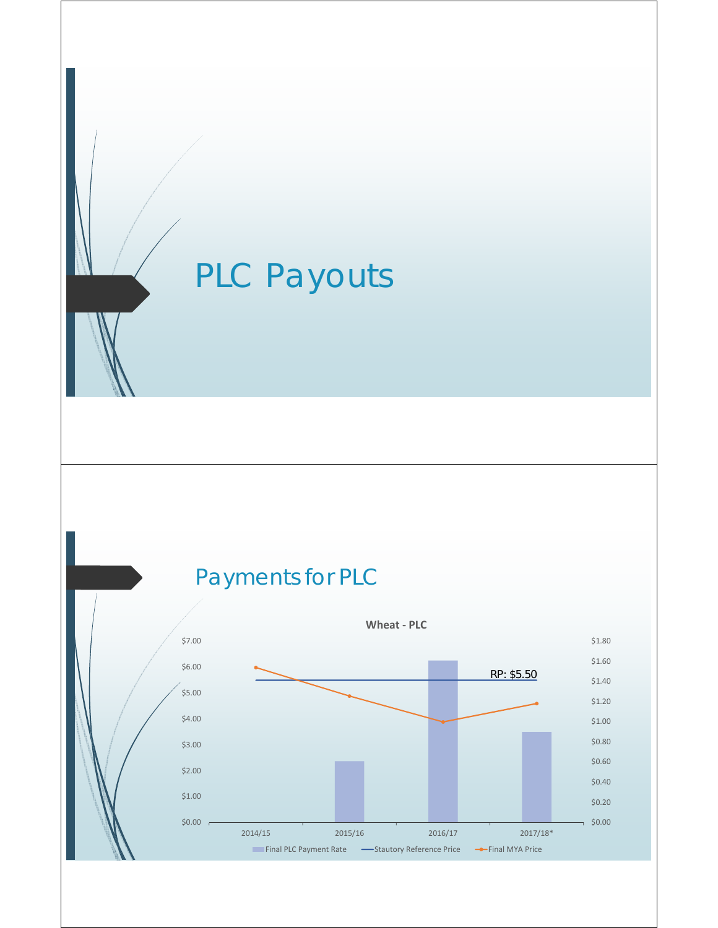# PLC Payouts

## Payments for PLC

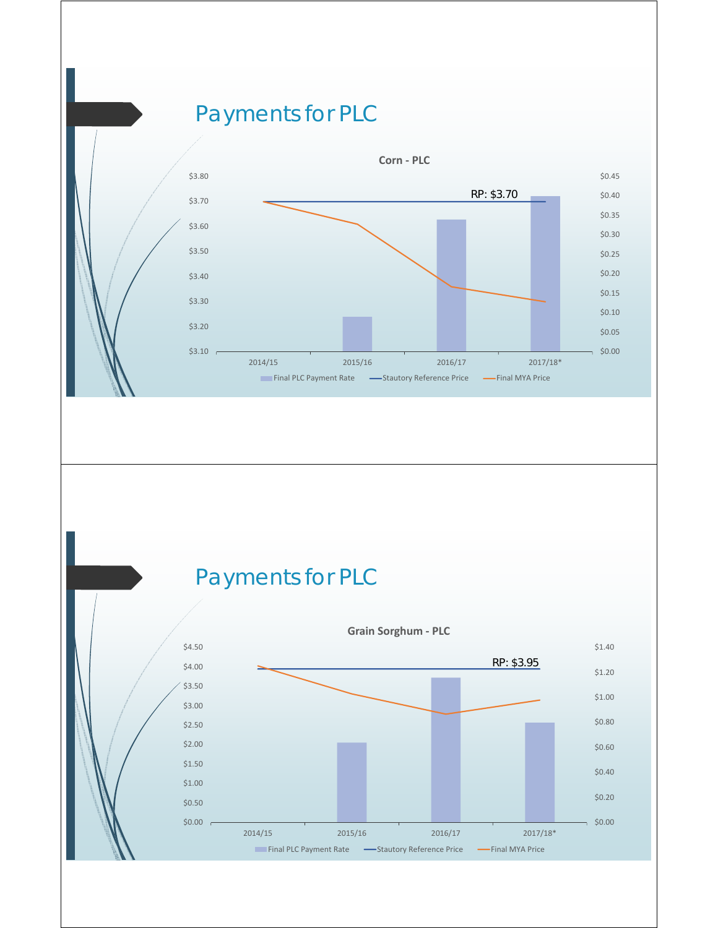### Payments for PLC



### Payments for PLC

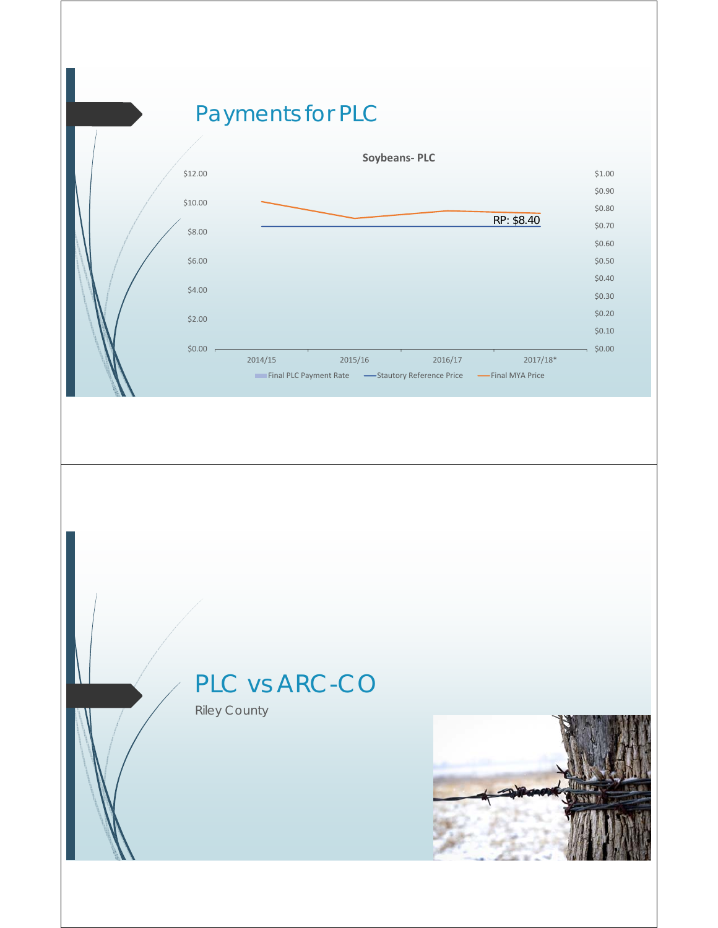## Payments for PLC



## PLC vs ARC-CO

Riley County

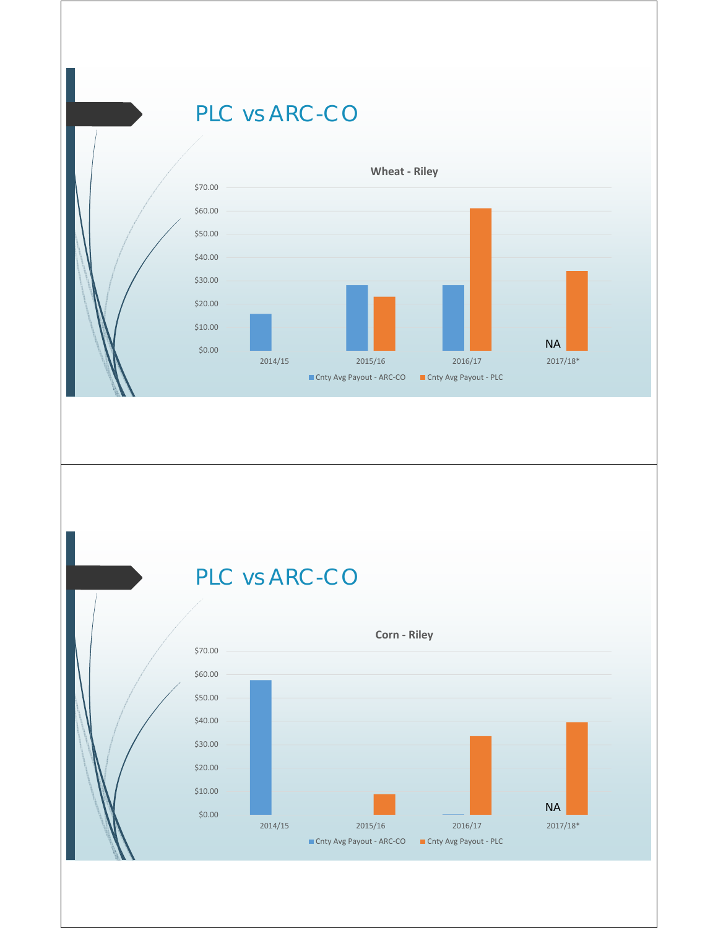#### PLC vs ARC-CO



## PLC vs ARC-CO

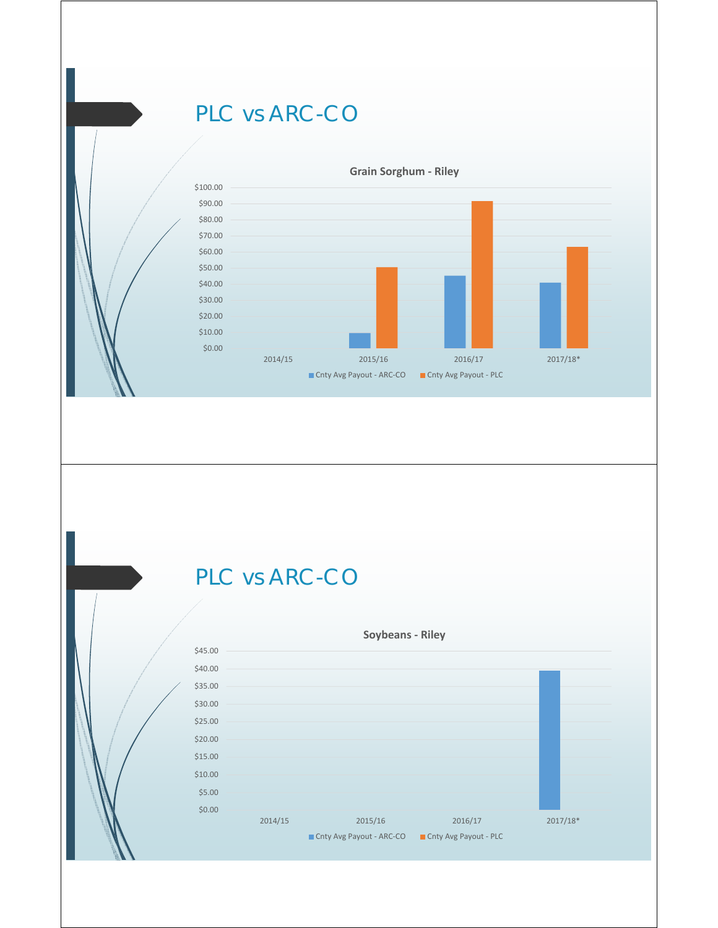#### PLC vs ARC-CO



## PLC vs ARC-CO

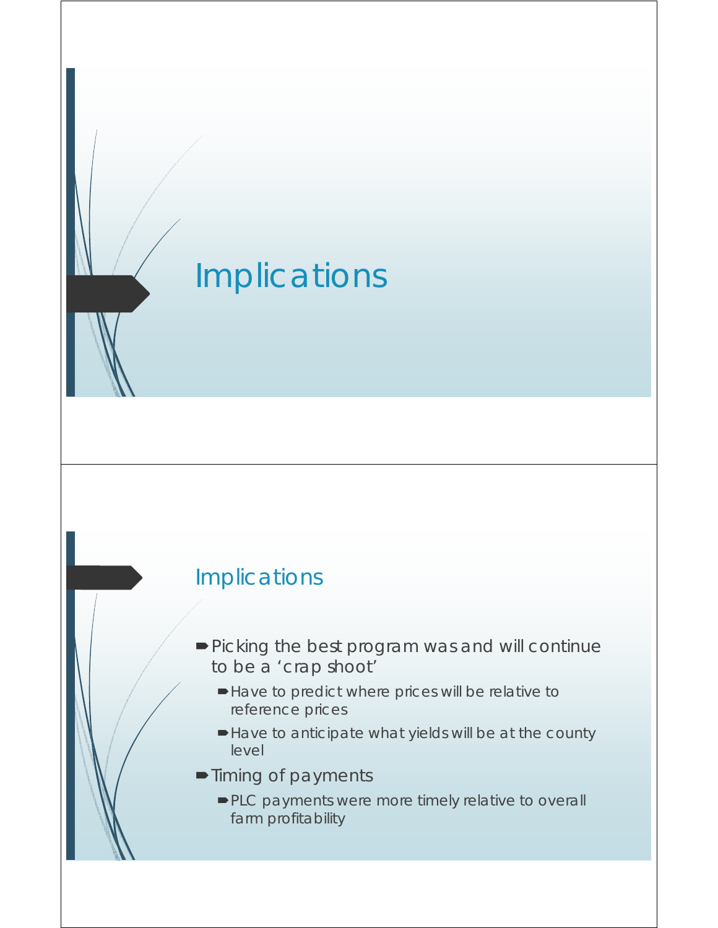# Implications

#### Implications

- Picking the best program was and will continue to be a 'crap shoot'
	- Have to predict where prices will be relative to reference prices
	- Have to anticipate what yields will be at the county level
- **Timing of payments** 
	- PLC payments were more timely relative to overall farm profitability